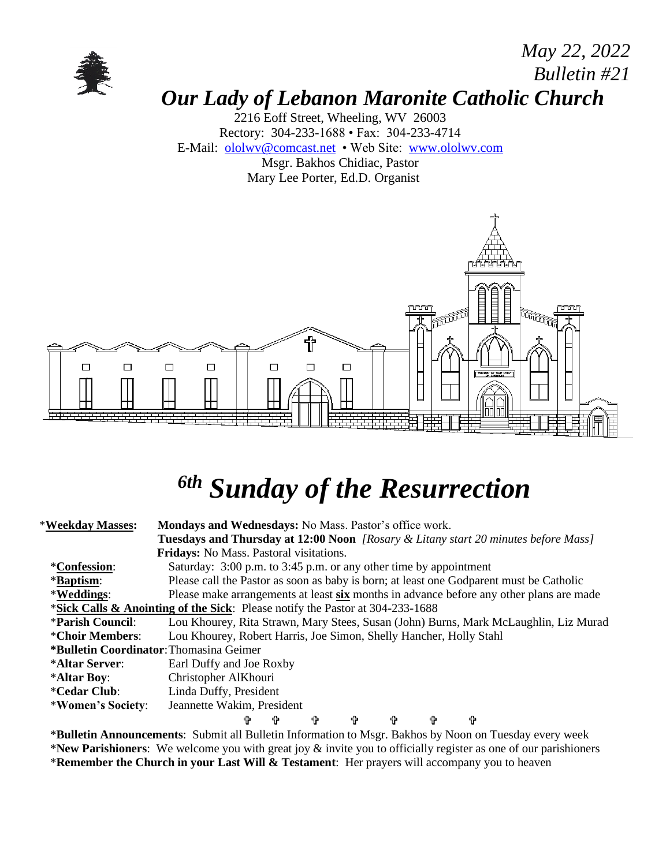

### *May 22, 2022 Bulletin #21 Our Lady of Lebanon Maronite Catholic Church*

2216 Eoff Street, Wheeling, WV 26003 Rectory: 304-233-1688 • Fax: 304-233-4714 E-Mail: [ololwv@comcast.net](mailto:ololwv@comcast.net) • Web Site: [www.ololwv.com](http://www.ololwv.com/) Msgr. Bakhos Chidiac, Pastor Mary Lee Porter, Ed.D. Organist



# *6th Sunday of the Resurrection*

| *Weekday Masses:                                                                         | Mondays and Wednesdays: No Mass. Pastor's office work.                                    |  |  |  |  |
|------------------------------------------------------------------------------------------|-------------------------------------------------------------------------------------------|--|--|--|--|
|                                                                                          | <b>Tuesdays and Thursday at 12:00 Noon</b> [Rosary & Litany start 20 minutes before Mass] |  |  |  |  |
|                                                                                          | Fridays: No Mass. Pastoral visitations.                                                   |  |  |  |  |
| <i>*Confession:</i>                                                                      | Saturday: 3:00 p.m. to 3:45 p.m. or any other time by appointment                         |  |  |  |  |
| *Baptism:                                                                                | Please call the Pastor as soon as baby is born; at least one Godparent must be Catholic   |  |  |  |  |
| *Weddings:                                                                               | Please make arrangements at least six months in advance before any other plans are made   |  |  |  |  |
| <b>*Sick Calls &amp; Anointing of the Sick:</b> Please notify the Pastor at 304-233-1688 |                                                                                           |  |  |  |  |
| *Parish Council:                                                                         | Lou Khourey, Rita Strawn, Mary Stees, Susan (John) Burns, Mark McLaughlin, Liz Murad      |  |  |  |  |
| <i>*Choir Members:</i>                                                                   | Lou Khourey, Robert Harris, Joe Simon, Shelly Hancher, Holly Stahl                        |  |  |  |  |
| *Bulletin Coordinator: Thomasina Geimer                                                  |                                                                                           |  |  |  |  |
| *Altar Server:                                                                           | Earl Duffy and Joe Roxby                                                                  |  |  |  |  |
| *Altar Boy:                                                                              | Christopher AlKhouri                                                                      |  |  |  |  |
| <i><b>*Cedar Club:</b></i>                                                               | Linda Duffy, President                                                                    |  |  |  |  |
| *Women's Society:                                                                        | Jeannette Wakim, President                                                                |  |  |  |  |
|                                                                                          | ⇧<br>╬<br>╬<br>╬<br>╬<br>令<br>令                                                           |  |  |  |  |

\***Bulletin Announcements**: Submit all Bulletin Information to Msgr. Bakhos by Noon on Tuesday every week \***New Parishioners**: We welcome you with great joy & invite you to officially register as one of our parishioners \***Remember the Church in your Last Will & Testament**: Her prayers will accompany you to heaven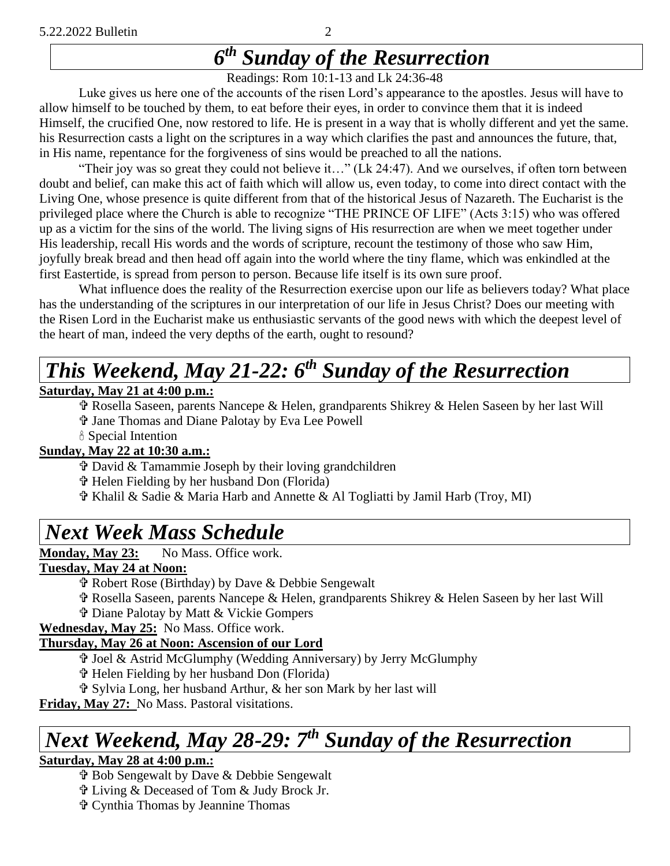# *6 th Sunday of the Resurrection*

Readings: Rom 10:1-13 and Lk 24:36-48

Luke gives us here one of the accounts of the risen Lord's appearance to the apostles. Jesus will have to allow himself to be touched by them, to eat before their eyes, in order to convince them that it is indeed Himself, the crucified One, now restored to life. He is present in a way that is wholly different and yet the same. his Resurrection casts a light on the scriptures in a way which clarifies the past and announces the future, that, in His name, repentance for the forgiveness of sins would be preached to all the nations.

"Their joy was so great they could not believe it…" (Lk 24:47). And we ourselves, if often torn between doubt and belief, can make this act of faith which will allow us, even today, to come into direct contact with the Living One, whose presence is quite different from that of the historical Jesus of Nazareth. The Eucharist is the privileged place where the Church is able to recognize "THE PRINCE OF LIFE" (Acts 3:15) who was offered up as a victim for the sins of the world. The living signs of His resurrection are when we meet together under His leadership, recall His words and the words of scripture, recount the testimony of those who saw Him, joyfully break bread and then head off again into the world where the tiny flame, which was enkindled at the first Eastertide, is spread from person to person. Because life itself is its own sure proof.

What influence does the reality of the Resurrection exercise upon our life as believers today? What place has the understanding of the scriptures in our interpretation of our life in Jesus Christ? Does our meeting with the Risen Lord in the Eucharist make us enthusiastic servants of the good news with which the deepest level of the heart of man, indeed the very depths of the earth, ought to resound?

# *This Weekend, May 21-22: 6th Sunday of the Resurrection*

#### **Saturday, May 21 at 4:00 p.m.:**

- Rosella Saseen, parents Nancepe & Helen, grandparents Shikrey & Helen Saseen by her last Will
- Jane Thomas and Diane Palotay by Eva Lee Powell
- Special Intention

#### **Sunday, May 22 at 10:30 a.m.:**

- David & Tamammie Joseph by their loving grandchildren
- Helen Fielding by her husband Don (Florida)
- Khalil & Sadie & Maria Harb and Annette & Al Togliatti by Jamil Harb (Troy, MI)

### *Next Week Mass Schedule*

**Monday, May 23:** No Mass. Office work.

#### **Tuesday, May 24 at Noon:**

- Robert Rose (Birthday) by Dave & Debbie Sengewalt
- Rosella Saseen, parents Nancepe & Helen, grandparents Shikrey & Helen Saseen by her last Will
- Diane Palotay by Matt & Vickie Gompers
- **Wednesday, May 25:** No Mass. Office work.

#### **Thursday, May 26 at Noon: Ascension of our Lord**

Joel & Astrid McGlumphy (Wedding Anniversary) by Jerry McGlumphy

- Helen Fielding by her husband Don (Florida)
- Sylvia Long, her husband Arthur, & her son Mark by her last will

**Friday, May 27:** No Mass. Pastoral visitations.

# *Next Weekend, May 28-29: 7 th Sunday of the Resurrection*

#### **Saturday, May 28 at 4:00 p.m.:**

Bob Sengewalt by Dave & Debbie Sengewalt

- Living & Deceased of Tom & Judy Brock Jr.
- Cynthia Thomas by Jeannine Thomas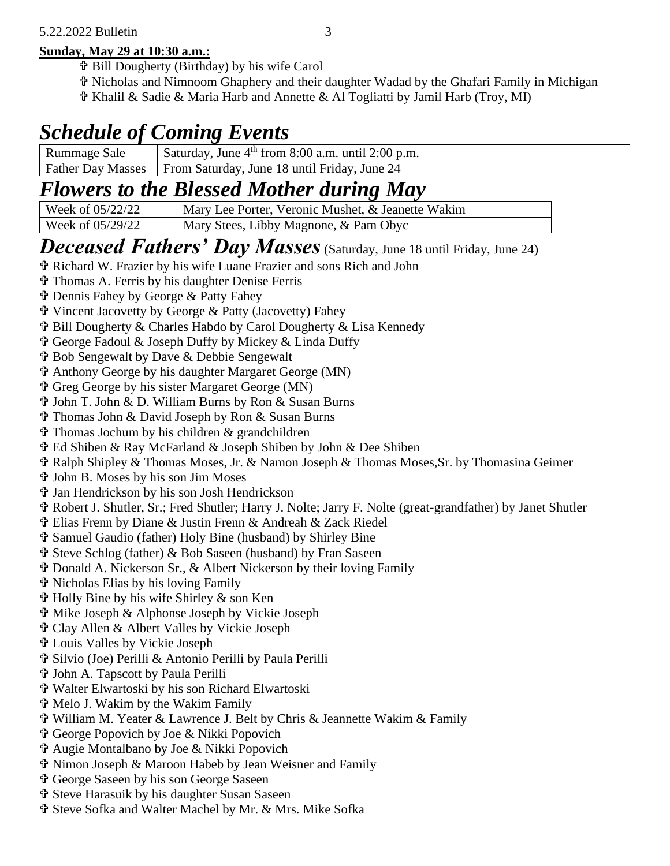#### **Sunday, May 29 at 10:30 a.m.:**

- Bill Dougherty (Birthday) by his wife Carol
- Nicholas and Nimnoom Ghaphery and their daughter Wadad by the Ghafari Family in Michigan
- Khalil & Sadie & Maria Harb and Annette & Al Togliatti by Jamil Harb (Troy, MI)

# *Schedule of Coming Events*

| Rummage Sale             | Saturday, June $4th$ from 8:00 a.m. until 2:00 p.m. |
|--------------------------|-----------------------------------------------------|
| <b>Father Day Masses</b> | From Saturday, June 18 until Friday, June 24        |

### *Flowers to the Blessed Mother during May*

| Week of $05/22/22$ | Mary Lee Porter, Veronic Mushet, & Jeanette Wakim |
|--------------------|---------------------------------------------------|
| Week of $05/29/22$ | Mary Stees, Libby Magnone, & Pam Obyc             |

### *Deceased Fathers' Day Masses* (Saturday, June 18 until Friday, June 24)

- Richard W. Frazier by his wife Luane Frazier and sons Rich and John
- Thomas A. Ferris by his daughter Denise Ferris
- Dennis Fahey by George & Patty Fahey
- Vincent Jacovetty by George & Patty (Jacovetty) Fahey
- Bill Dougherty & Charles Habdo by Carol Dougherty & Lisa Kennedy
- George Fadoul & Joseph Duffy by Mickey & Linda Duffy
- Bob Sengewalt by Dave & Debbie Sengewalt
- Anthony George by his daughter Margaret George (MN)
- Greg George by his sister Margaret George (MN)
- John T. John & D. William Burns by Ron & Susan Burns
- Thomas John & David Joseph by Ron & Susan Burns
- Thomas Jochum by his children & grandchildren
- Ed Shiben & Ray McFarland & Joseph Shiben by John & Dee Shiben
- Ralph Shipley & Thomas Moses, Jr. & Namon Joseph & Thomas Moses,Sr. by Thomasina Geimer
- John B. Moses by his son Jim Moses
- Jan Hendrickson by his son Josh Hendrickson
- Robert J. Shutler, Sr.; Fred Shutler; Harry J. Nolte; Jarry F. Nolte (great-grandfather) by Janet Shutler
- Elias Frenn by Diane & Justin Frenn & Andreah & Zack Riedel
- Samuel Gaudio (father) Holy Bine (husband) by Shirley Bine
- Steve Schlog (father) & Bob Saseen (husband) by Fran Saseen
- Donald A. Nickerson Sr., & Albert Nickerson by their loving Family
- Nicholas Elias by his loving Family
- Holly Bine by his wife Shirley & son Ken
- Mike Joseph & Alphonse Joseph by Vickie Joseph
- Clay Allen & Albert Valles by Vickie Joseph
- Louis Valles by Vickie Joseph
- Silvio (Joe) Perilli & Antonio Perilli by Paula Perilli
- John A. Tapscott by Paula Perilli
- Walter Elwartoski by his son Richard Elwartoski
- Melo J. Wakim by the Wakim Family
- William M. Yeater & Lawrence J. Belt by Chris & Jeannette Wakim & Family
- George Popovich by Joe & Nikki Popovich
- Augie Montalbano by Joe & Nikki Popovich
- Nimon Joseph & Maroon Habeb by Jean Weisner and Family
- George Saseen by his son George Saseen
- Steve Harasuik by his daughter Susan Saseen
- Steve Sofka and Walter Machel by Mr. & Mrs. Mike Sofka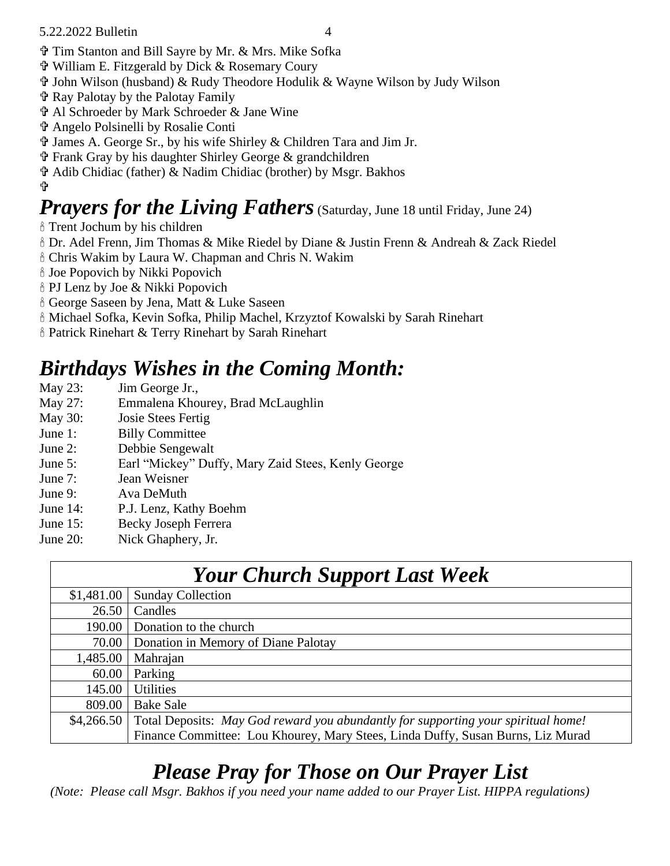- Tim Stanton and Bill Sayre by Mr. & Mrs. Mike Sofka
- William E. Fitzgerald by Dick & Rosemary Coury
- John Wilson (husband) & Rudy Theodore Hodulik & Wayne Wilson by Judy Wilson
- Ray Palotay by the Palotay Family
- Al Schroeder by Mark Schroeder & Jane Wine
- Angelo Polsinelli by Rosalie Conti
- James A. George Sr., by his wife Shirley & Children Tara and Jim Jr.
- Frank Gray by his daughter Shirley George & grandchildren
- Adib Chidiac (father) & Nadim Chidiac (brother) by Msgr. Bakhos

ቶ

## *Prayers for the Living Fathers* (Saturday, June 18 until Friday, June 24)

Trent Jochum by his children

Dr. Adel Frenn, Jim Thomas & Mike Riedel by Diane & Justin Frenn & Andreah & Zack Riedel

Chris Wakim by Laura W. Chapman and Chris N. Wakim

- Joe Popovich by Nikki Popovich
- PJ Lenz by Joe & Nikki Popovich
- George Saseen by Jena, Matt & Luke Saseen
- Michael Sofka, Kevin Sofka, Philip Machel, Krzyztof Kowalski by Sarah Rinehart
- Patrick Rinehart & Terry Rinehart by Sarah Rinehart

### *Birthdays Wishes in the Coming Month:*

- May 23: Jim George Jr.,
- May 27: Emmalena Khourey, Brad McLaughlin
- May 30: Josie Stees Fertig
- June 1: Billy Committee
- June 2: Debbie Sengewalt
- June 5: Earl "Mickey" Duffy, Mary Zaid Stees, Kenly George
- June 7: Jean Weisner
- June 9: Ava DeMuth
- June 14: P.J. Lenz, Kathy Boehm
- June 15: Becky Joseph Ferrera
- June 20: Nick Ghaphery, Jr.

| <b>Your Church Support Last Week</b> |                                                                                              |  |  |  |
|--------------------------------------|----------------------------------------------------------------------------------------------|--|--|--|
| \$1,481.00                           | <b>Sunday Collection</b>                                                                     |  |  |  |
| 26.50                                | Candles                                                                                      |  |  |  |
| 190.00                               | Donation to the church                                                                       |  |  |  |
| 70.00                                | Donation in Memory of Diane Palotay                                                          |  |  |  |
| 1,485.00                             | Mahrajan                                                                                     |  |  |  |
| 60.00                                | Parking                                                                                      |  |  |  |
| 145.00                               | <b>Utilities</b>                                                                             |  |  |  |
| 809.00                               | <b>Bake Sale</b>                                                                             |  |  |  |
|                                      | \$4,266.50 Total Deposits: May God reward you abundantly for supporting your spiritual home! |  |  |  |
|                                      | Finance Committee: Lou Khourey, Mary Stees, Linda Duffy, Susan Burns, Liz Murad              |  |  |  |

# *Please Pray for Those on Our Prayer List*

*(Note: Please call Msgr. Bakhos if you need your name added to our Prayer List. HIPPA regulations)*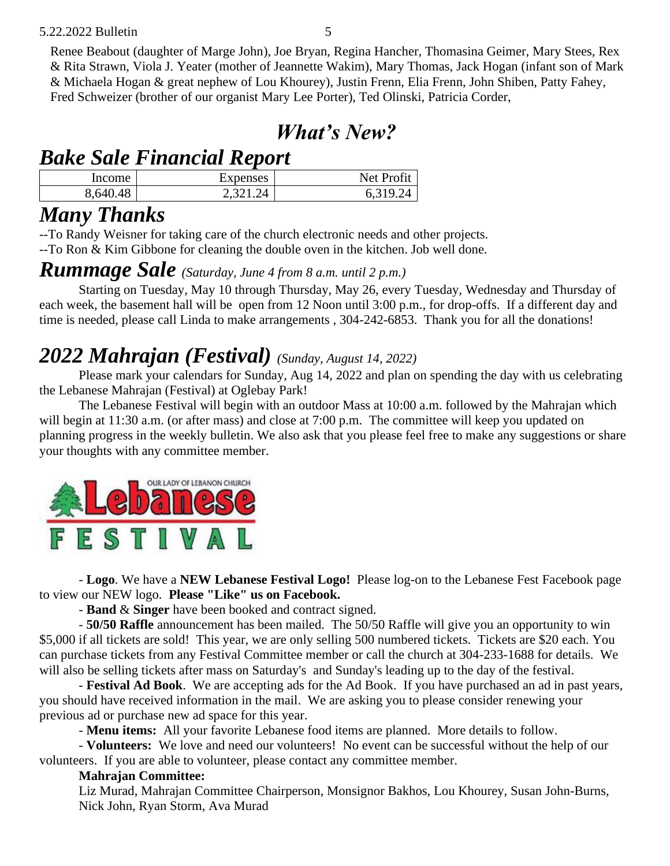Renee Beabout (daughter of Marge John), Joe Bryan, Regina Hancher, Thomasina Geimer, Mary Stees, Rex & Rita Strawn, Viola J. Yeater (mother of Jeannette Wakim), Mary Thomas, Jack Hogan (infant son of Mark & Michaela Hogan & great nephew of Lou Khourey), Justin Frenn, Elia Frenn, John Shiben, Patty Fahey, Fred Schweizer (brother of our organist Mary Lee Porter), Ted Olinski, Patricia Corder,

#### *What's New?*

### *Bake Sale Financial Report*

| Income   | <b>Expenses</b> | Net Profit |  |  |  |
|----------|-----------------|------------|--|--|--|
| 8,640.48 | 7 371 <i>74</i> | 6 319 24   |  |  |  |
|          |                 |            |  |  |  |

### *Many Thanks*

--To Randy Weisner for taking care of the church electronic needs and other projects. --To Ron & Kim Gibbone for cleaning the double oven in the kitchen. Job well done.

# *Rummage Sale (Saturday, June 4 from 8 a.m. until 2 p.m.)*

Starting on Tuesday, May 10 through Thursday, May 26, every Tuesday, Wednesday and Thursday of each week, the basement hall will be open from 12 Noon until 3:00 p.m., for drop-offs. If a different day and time is needed, please call Linda to make arrangements, 304-242-6853. Thank you for all the donations!

### *2022 Mahrajan (Festival) (Sunday, August 14, 2022)*

Please mark your calendars for Sunday, Aug 14, 2022 and plan on spending the day with us celebrating the Lebanese Mahrajan (Festival) at Oglebay Park!

The Lebanese Festival will begin with an outdoor Mass at 10:00 a.m. followed by the Mahrajan which will begin at 11:30 a.m. (or after mass) and close at 7:00 p.m. The committee will keep you updated on planning progress in the weekly bulletin. We also ask that you please feel free to make any suggestions or share your thoughts with any committee member.



- **Logo**. We have a **NEW Lebanese Festival Logo!** Please log-on to the Lebanese Fest Facebook page to view our NEW logo. **Please "Like" us on Facebook.**

- **Band** & **Singer** have been booked and contract signed.

- **50/50 Raffle** announcement has been mailed. The 50/50 Raffle will give you an opportunity to win \$5,000 if all tickets are sold! This year, we are only selling 500 numbered tickets. Tickets are \$20 each. You can purchase tickets from any Festival Committee member or call the church at 304-233-1688 for details. We will also be selling tickets after mass on Saturday's and Sunday's leading up to the day of the festival.

- **Festival Ad Book**. We are accepting ads for the Ad Book. If you have purchased an ad in past years, you should have received information in the mail. We are asking you to please consider renewing your previous ad or purchase new ad space for this year.

- **Menu items:** All your favorite Lebanese food items are planned. More details to follow.

- **Volunteers:** We love and need our volunteers! No event can be successful without the help of our volunteers. If you are able to volunteer, please contact any committee member.

#### **Mahrajan Committee:**

Liz Murad, Mahrajan Committee Chairperson, Monsignor Bakhos, Lou Khourey, Susan John-Burns, Nick John, Ryan Storm, Ava Murad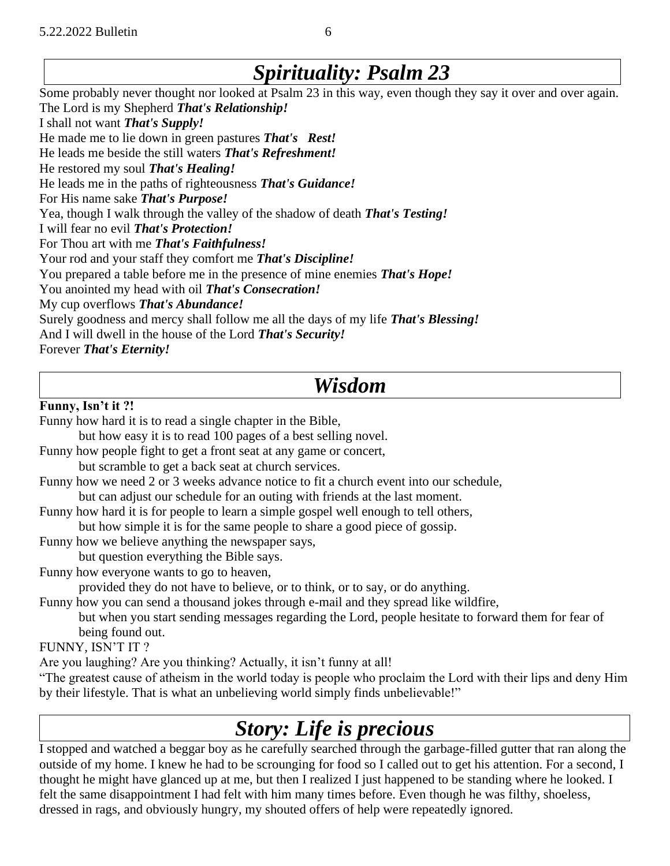### *Spirituality: Psalm 23*

Some probably never thought nor looked at Psalm 23 in this way, even though they say it over and over again. The Lord is my Shepherd *That's Relationship!* I shall not want *That's Supply!* He made me to lie down in green pastures *That's Rest!* He leads me beside the still waters *That's Refreshment!* He restored my soul *That's Healing!* He leads me in the paths of righteousness *That's Guidance!* For His name sake *That's Purpose!* Yea, though I walk through the valley of the shadow of death *That's Testing!* I will fear no evil *That's Protection!* For Thou art with me *That's Faithfulness!* Your rod and your staff they comfort me *That's Discipline!* You prepared a table before me in the presence of mine enemies *That's Hope!* You anointed my head with oil *That's Consecration!* My cup overflows *That's Abundance!* Surely goodness and mercy shall follow me all the days of my life *That's Blessing!* And I will dwell in the house of the Lord *That's Security!* Forever *That's Eternity!*

#### *Wisdom*

#### **Funny, Isn't it ?!**

Funny how hard it is to read a single chapter in the Bible,

but how easy it is to read 100 pages of a best selling novel.

Funny how people fight to get a front seat at any game or concert,

but scramble to get a back seat at church services.

Funny how we need 2 or 3 weeks advance notice to fit a church event into our schedule, but can adjust our schedule for an outing with friends at the last moment.

Funny how hard it is for people to learn a simple gospel well enough to tell others, but how simple it is for the same people to share a good piece of gossip.

Funny how we believe anything the newspaper says,

but question everything the Bible says.

Funny how everyone wants to go to heaven,

provided they do not have to believe, or to think, or to say, or do anything.

Funny how you can send a thousand jokes through e-mail and they spread like wildfire,

but when you start sending messages regarding the Lord, people hesitate to forward them for fear of being found out.

FUNNY, ISN'T IT ?

Are you laughing? Are you thinking? Actually, it isn't funny at all!

"The greatest cause of atheism in the world today is people who proclaim the Lord with their lips and deny Him by their lifestyle. That is what an unbelieving world simply finds unbelievable!"

# *Story: Life is precious*

I stopped and watched a beggar boy as he carefully searched through the garbage-filled gutter that ran along the outside of my home. I knew he had to be scrounging for food so I called out to get his attention. For a second, I thought he might have glanced up at me, but then I realized I just happened to be standing where he looked. I felt the same disappointment I had felt with him many times before. Even though he was filthy, shoeless, dressed in rags, and obviously hungry, my shouted offers of help were repeatedly ignored.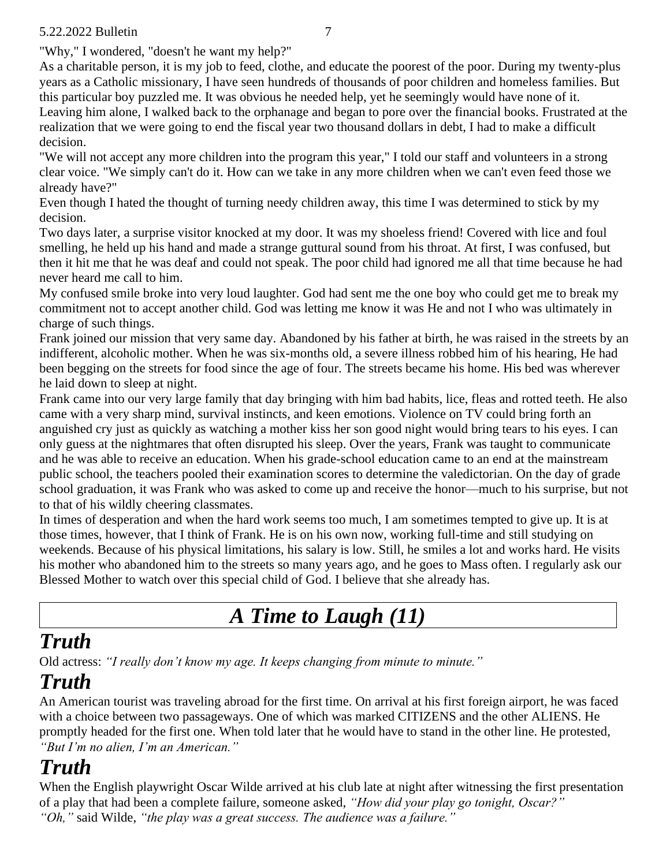"Why," I wondered, "doesn't he want my help?"

As a charitable person, it is my job to feed, clothe, and educate the poorest of the poor. During my twenty-plus years as a Catholic missionary, I have seen hundreds of thousands of poor children and homeless families. But this particular boy puzzled me. It was obvious he needed help, yet he seemingly would have none of it. Leaving him alone, I walked back to the orphanage and began to pore over the financial books. Frustrated at the realization that we were going to end the fiscal year two thousand dollars in debt, I had to make a difficult decision.

"We will not accept any more children into the program this year," I told our staff and volunteers in a strong clear voice. "We simply can't do it. How can we take in any more children when we can't even feed those we already have?"

Even though I hated the thought of turning needy children away, this time I was determined to stick by my decision.

Two days later, a surprise visitor knocked at my door. It was my shoeless friend! Covered with lice and foul smelling, he held up his hand and made a strange guttural sound from his throat. At first, I was confused, but then it hit me that he was deaf and could not speak. The poor child had ignored me all that time because he had never heard me call to him.

My confused smile broke into very loud laughter. God had sent me the one boy who could get me to break my commitment not to accept another child. God was letting me know it was He and not I who was ultimately in charge of such things.

Frank joined our mission that very same day. Abandoned by his father at birth, he was raised in the streets by an indifferent, alcoholic mother. When he was six-months old, a severe illness robbed him of his hearing, He had been begging on the streets for food since the age of four. The streets became his home. His bed was wherever he laid down to sleep at night.

Frank came into our very large family that day bringing with him bad habits, lice, fleas and rotted teeth. He also came with a very sharp mind, survival instincts, and keen emotions. Violence on TV could bring forth an anguished cry just as quickly as watching a mother kiss her son good night would bring tears to his eyes. I can only guess at the nightmares that often disrupted his sleep. Over the years, Frank was taught to communicate and he was able to receive an education. When his grade-school education came to an end at the mainstream public school, the teachers pooled their examination scores to determine the valedictorian. On the day of grade school graduation, it was Frank who was asked to come up and receive the honor—much to his surprise, but not to that of his wildly cheering classmates.

In times of desperation and when the hard work seems too much, I am sometimes tempted to give up. It is at those times, however, that I think of Frank. He is on his own now, working full-time and still studying on weekends. Because of his physical limitations, his salary is low. Still, he smiles a lot and works hard. He visits his mother who abandoned him to the streets so many years ago, and he goes to Mass often. I regularly ask our Blessed Mother to watch over this special child of God. I believe that she already has.

### *A Time to Laugh (11)*

### *Truth*

Old actress: *"I really don't know my age. It keeps changing from minute to minute."*

# *Truth*

An American tourist was traveling abroad for the first time. On arrival at his first foreign airport, he was faced with a choice between two passageways. One of which was marked CITIZENS and the other ALIENS. He promptly headed for the first one. When told later that he would have to stand in the other line. He protested, *"But I'm no alien, I'm an American."*

### *Truth*

When the English playwright Oscar Wilde arrived at his club late at night after witnessing the first presentation of a play that had been a complete failure, someone asked, *"How did your play go tonight, Oscar?" "Oh,"* said Wilde, *"the play was a great success. The audience was a failure."*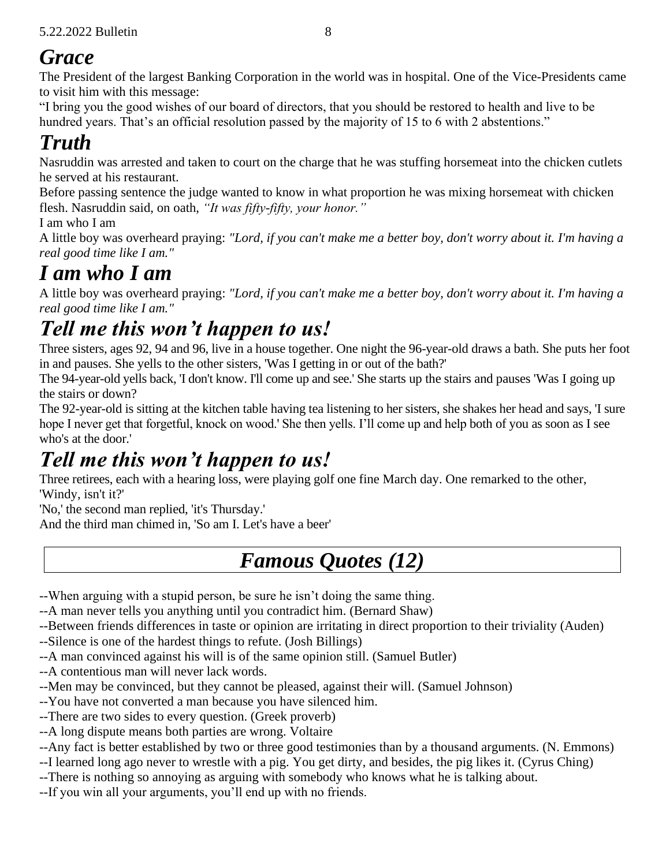### *Grace*

The President of the largest Banking Corporation in the world was in hospital. One of the Vice-Presidents came to visit him with this message:

"I bring you the good wishes of our board of directors, that you should be restored to health and live to be hundred years. That's an official resolution passed by the majority of 15 to 6 with 2 abstentions."

# *Truth*

Nasruddin was arrested and taken to court on the charge that he was stuffing horsemeat into the chicken cutlets he served at his restaurant.

Before passing sentence the judge wanted to know in what proportion he was mixing horsemeat with chicken flesh. Nasruddin said, on oath, *"It was fifty-fifty, your honor."*

I am who I am

A little boy was overheard praying: *"Lord, if you can't make me a better boy, don't worry about it. I'm having a real good time like I am."*

# *I am who I am*

A little boy was overheard praying: *"Lord, if you can't make me a better boy, don't worry about it. I'm having a real good time like I am."*

# *Tell me this won't happen to us!*

Three sisters, ages 92, 94 and 96, live in a house together. One night the 96-year-old draws a bath. She puts her foot in and pauses. She yells to the other sisters, 'Was I getting in or out of the bath?'

The 94-year-old yells back, 'I don't know. I'll come up and see.' She starts up the stairs and pauses 'Was I going up the stairs or down?

The 92-year-old is sitting at the kitchen table having tea listening to her sisters, she shakes her head and says, 'I sure hope I never get that forgetful, knock on wood.' She then yells. I'll come up and help both of you as soon as I see who's at the door.'

# *Tell me this won't happen to us!*

Three retirees, each with a hearing loss, were playing golf one fine March day. One remarked to the other, 'Windy, isn't it?'

'No,' the second man replied, 'it's Thursday.'

And the third man chimed in, 'So am I. Let's have a beer'

# *Famous Quotes (12)*

--When arguing with a stupid person, be sure he isn't doing the same thing.

--A man never tells you anything until you contradict him. (Bernard Shaw)

- --Between friends differences in taste or opinion are irritating in direct proportion to their triviality (Auden)
- --Silence is one of the hardest things to refute. (Josh Billings)
- --A man convinced against his will is of the same opinion still. (Samuel Butler)
- --A contentious man will never lack words.
- --Men may be convinced, but they cannot be pleased, against their will. (Samuel Johnson)
- --You have not converted a man because you have silenced him.
- --There are two sides to every question. (Greek proverb)
- --A long dispute means both parties are wrong. Voltaire
- --Any fact is better established by two or three good testimonies than by a thousand arguments. (N. Emmons)
- --I learned long ago never to wrestle with a pig. You get dirty, and besides, the pig likes it. (Cyrus Ching)
- --There is nothing so annoying as arguing with somebody who knows what he is talking about.
- --If you win all your arguments, you'll end up with no friends.